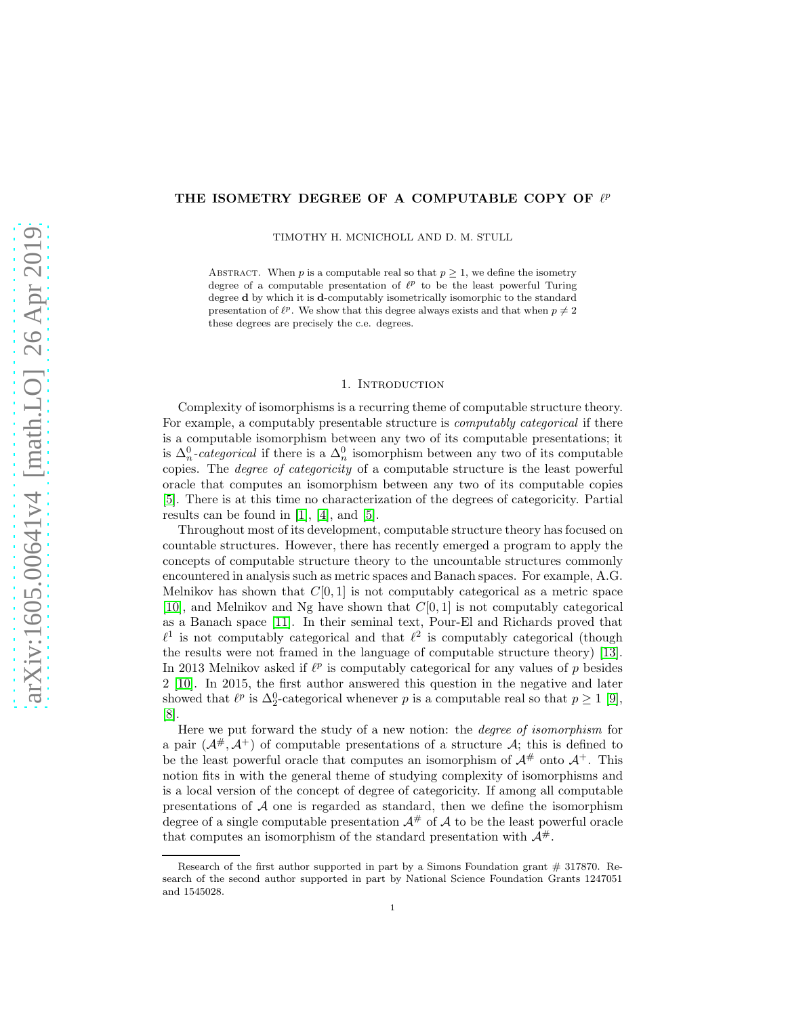# THE ISOMETRY DEGREE OF A COMPUTABLE COPY OF  $\ell^p$

TIMOTHY H. MCNICHOLL AND D. M. STULL

ABSTRACT. When p is a computable real so that  $p \geq 1$ , we define the isometry degree of a computable presentation of  $\ell^p$  to be the least powerful Turing degree d by which it is d-computably isometrically isomorphic to the standard presentation of  $\ell^p$ . We show that this degree always exists and that when  $p \neq 2$ these degrees are precisely the c.e. degrees.

#### 1. INTRODUCTION

Complexity of isomorphisms is a recurring theme of computable structure theory. For example, a computably presentable structure is *computably categorical* if there is a computable isomorphism between any two of its computable presentations; it is  $\Delta_n^0$ -categorical if there is a  $\Delta_n^0$  isomorphism between any two of its computable copies. The *degree of categoricity* of a computable structure is the least powerful oracle that computes an isomorphism between any two of its computable copies [\[5\]](#page-11-0). There is at this time no characterization of the degrees of categoricity. Partial results can be found in [\[1\]](#page-11-1), [\[4\]](#page-11-2), and [\[5\]](#page-11-0).

Throughout most of its development, computable structure theory has focused on countable structures. However, there has recently emerged a program to apply the concepts of computable structure theory to the uncountable structures commonly encountered in analysis such as metric spaces and Banach spaces. For example, A.G. Melnikov has shown that  $C[0, 1]$  is not computably categorical as a metric space [\[10\]](#page-11-3), and Melnikov and Ng have shown that  $C[0, 1]$  is not computably categorical as a Banach space [\[11\]](#page-11-4). In their seminal text, Pour-El and Richards proved that  $\ell^1$  is not computably categorical and that  $\ell^2$  is computably categorical (though the results were not framed in the language of computable structure theory) [\[13\]](#page-11-5). In 2013 Melnikov asked if  $\ell^p$  is computably categorical for any values of p besides 2 [\[10\]](#page-11-3). In 2015, the first author answered this question in the negative and later showed that  $\ell^p$  is  $\Delta_2^0$ -categorical whenever p is a computable real so that  $p \ge 1$  [\[9\]](#page-11-6), [\[8\]](#page-11-7).

Here we put forward the study of a new notion: the *degree of isomorphism* for a pair  $(A^{\#}, A^{\dagger})$  of computable presentations of a structure A; this is defined to be the least powerful oracle that computes an isomorphism of  $A^{\#}$  onto  $A^{\#}$ . This notion fits in with the general theme of studying complexity of isomorphisms and is a local version of the concept of degree of categoricity. If among all computable presentations of  $A$  one is regarded as standard, then we define the isomorphism degree of a single computable presentation  $A^{\#}$  of A to be the least powerful oracle that computes an isomorphism of the standard presentation with  $\mathcal{A}^{\#}$ .

Research of the first author supported in part by a Simons Foundation grant  $\#$  317870. Research of the second author supported in part by National Science Foundation Grants 1247051 and 1545028.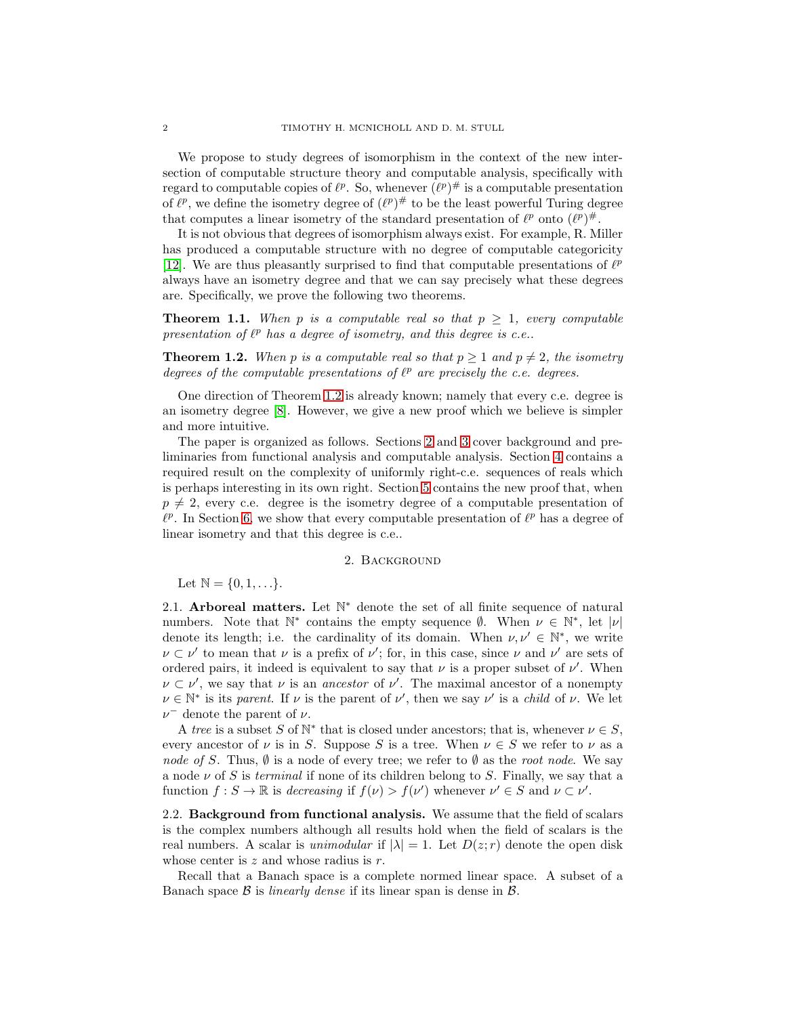We propose to study degrees of isomorphism in the context of the new intersection of computable structure theory and computable analysis, specifically with regard to computable copies of  $\ell^p$ . So, whenever  $(\ell^p)^{\#}$  is a computable presentation of  $\ell^p$ , we define the isometry degree of  $(\ell^p)^\#$  to be the least powerful Turing degree that computes a linear isometry of the standard presentation of  $\ell^p$  onto  $(\ell^p)^{\#}$ .

It is not obvious that degrees of isomorphism always exist. For example, R. Miller has produced a computable structure with no degree of computable categoricity [\[12\]](#page-11-8). We are thus pleasantly surprised to find that computable presentations of  $\ell^p$ always have an isometry degree and that we can say precisely what these degrees are. Specifically, we prove the following two theorems.

<span id="page-1-3"></span>**Theorem 1.1.** When p is a computable real so that  $p \geq 1$ , every computable presentation of  $\ell^p$  has a degree of isometry, and this degree is c.e..

<span id="page-1-0"></span>**Theorem 1.2.** When p is a computable real so that  $p \ge 1$  and  $p \ne 2$ , the isometry *degrees of the computable presentations of*  $\ell^p$  *are precisely the c.e. degrees.* 

One direction of Theorem [1.2](#page-1-0) is already known; namely that every c.e. degree is an isometry degree [\[8\]](#page-11-7). However, we give a new proof which we believe is simpler and more intuitive.

The paper is organized as follows. Sections [2](#page-1-1) and [3](#page-4-0) cover background and preliminaries from functional analysis and computable analysis. Section [4](#page-7-0) contains a required result on the complexity of uniformly right-c.e. sequences of reals which is perhaps interesting in its own right. Section [5](#page-8-0) contains the new proof that, when  $p \neq 2$ , every c.e. degree is the isometry degree of a computable presentation of  $\ell^p$ . In Section [6,](#page-9-0) we show that every computable presentation of  $\ell^p$  has a degree of linear isometry and that this degree is c.e..

#### 2. Background

<span id="page-1-1"></span>Let  $\mathbb{N} = \{0, 1, ...\}$ .

2.1. Arboreal matters. Let  $\mathbb{N}^*$  denote the set of all finite sequence of natural numbers. Note that  $\mathbb{N}^*$  contains the empty sequence  $\emptyset$ . When  $\nu \in \mathbb{N}^*$ , let  $|\nu|$ denote its length; i.e. the cardinality of its domain. When  $\nu, \nu' \in \mathbb{N}^*$ , we write  $\nu \subset \nu'$  to mean that  $\nu$  is a prefix of  $\nu'$ ; for, in this case, since  $\nu$  and  $\nu'$  are sets of ordered pairs, it indeed is equivalent to say that  $\nu$  is a proper subset of  $\nu'$ . When  $\nu \subset \nu'$ , we say that  $\nu$  is an *ancestor* of  $\nu'$ . The maximal ancestor of a nonempty  $\nu \in \mathbb{N}^*$  is its *parent*. If  $\nu$  is the parent of  $\nu'$ , then we say  $\nu'$  is a *child* of  $\nu$ . We let  $\nu^-$  denote the parent of  $\nu$ .

A *tree* is a subset S of  $\mathbb{N}^*$  that is closed under ancestors; that is, whenever  $\nu \in S$ , every ancestor of  $\nu$  is in S. Suppose S is a tree. When  $\nu \in S$  we refer to  $\nu$  as a *node of* S. Thus,  $\emptyset$  is a node of every tree; we refer to  $\emptyset$  as the *root node*. We say a node  $\nu$  of S is *terminal* if none of its children belong to S. Finally, we say that a function  $f: S \to \mathbb{R}$  is *decreasing* if  $f(\nu) > f(\nu')$  whenever  $\nu' \in S$  and  $\nu \subset \nu'$ .

<span id="page-1-2"></span>2.2. Background from functional analysis. We assume that the field of scalars is the complex numbers although all results hold when the field of scalars is the real numbers. A scalar is *unimodular* if  $|\lambda| = 1$ . Let  $D(z; r)$  denote the open disk whose center is  $z$  and whose radius is  $r$ .

Recall that a Banach space is a complete normed linear space. A subset of a Banach space B is *linearly dense* if its linear span is dense in B.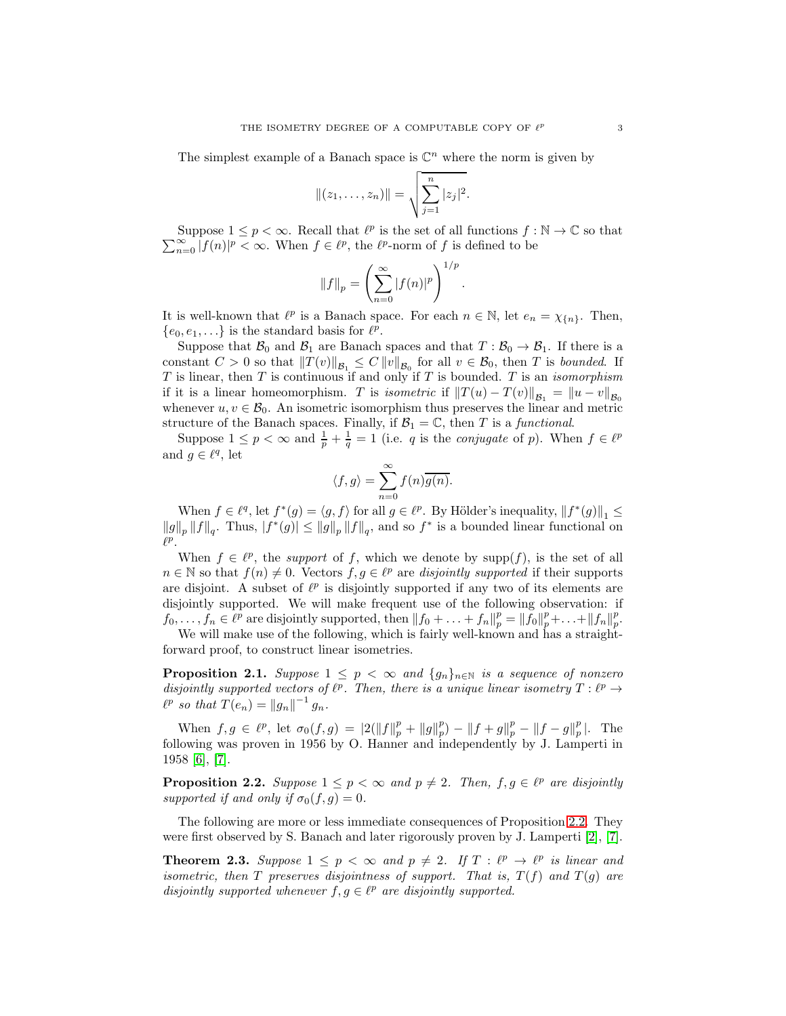The simplest example of a Banach space is  $\mathbb{C}^n$  where the norm is given by

$$
||(z_1,\ldots,z_n)|| = \sqrt{\sum_{j=1}^n |z_j|^2}.
$$

Suppose  $1 \leq p < \infty$ . Recall that  $\ell^p$  is the set of all functions  $f : \mathbb{N} \to \mathbb{C}$  so that  $\sum_{n=0}^{\infty} |f(n)|^p < \infty$ . When  $f \in \ell^p$ , the  $\ell^p$ -norm of f is defined to be

$$
||f||_p = \left(\sum_{n=0}^{\infty} |f(n)|^p\right)^{1/p}.
$$

It is well-known that  $\ell^p$  is a Banach space. For each  $n \in \mathbb{N}$ , let  $e_n = \chi_{\{n\}}$ . Then,  $\{e_0, e_1, \ldots\}$  is the standard basis for  $\ell^p$ .

Suppose that  $\mathcal{B}_0$  and  $\mathcal{B}_1$  are Banach spaces and that  $T : \mathcal{B}_0 \to \mathcal{B}_1$ . If there is a constant  $C > 0$  so that  $||T(v)||_{\mathcal{B}_1} \leq C ||v||_{\mathcal{B}_0}$  for all  $v \in \mathcal{B}_0$ , then T is *bounded*. If T is linear, then T is continuous if and only if T is bounded. T is an *isomorphism* if it is a linear homeomorphism. T is *isometric* if  $||T(u) - T(v)||_{\mathcal{B}_1} = ||u - v||_{\mathcal{B}_0}$ whenever  $u, v \in \mathcal{B}_0$ . An isometric isomorphism thus preserves the linear and metric structure of the Banach spaces. Finally, if  $\mathcal{B}_1 = \mathbb{C}$ , then T is a *functional*.

Suppose  $1 \leq p < \infty$  and  $\frac{1}{p} + \frac{1}{q} = 1$  (i.e. q is the *conjugate* of p). When  $f \in \ell^p$ and  $g \in \ell^q$ , let

$$
\langle f, g \rangle = \sum_{n=0}^{\infty} f(n) \overline{g(n)}.
$$

When  $f \in \ell^q$ , let  $f^*(g) = \langle g, f \rangle$  for all  $g \in \ell^p$ . By Hölder's inequality,  $||f^*(g)||_1 \le$  $||g||_p ||f||_q$ . Thus,  $|f^*(g)| \le ||g||_p ||f||_q$ , and so  $f^*$  is a bounded linear functional on  $\ell^p$ .

When  $f \in \ell^p$ , the *support* of f, which we denote by supp(f), is the set of all  $n \in \mathbb{N}$  so that  $f(n) \neq 0$ . Vectors  $f, g \in \ell^p$  are *disjointly supported* if their supports are disjoint. A subset of  $\ell^p$  is disjointly supported if any two of its elements are disjointly supported. We will make frequent use of the following observation: if  $f_0, \ldots, f_n \in \ell^p$  are disjointly supported, then  $||f_0 + \ldots + f_n||_p^p = ||\tilde{f}_0||_p^p + \ldots + ||f_n||_p^p$  $_p^p.$ We will make use of the following, which is fairly well-known and has a straight-

forward proof, to construct linear isometries.

<span id="page-2-1"></span>**Proposition 2.1.** *Suppose*  $1 \leq p < \infty$  *and*  $\{g_n\}_{n \in \mathbb{N}}$  *is a sequence of nonzero* disjointly supported vectors of  $\ell^p$ . Then, there is a unique linear isometry  $T: \ell^p \to$  $\ell^p$  so that  $T(e_n) = ||g_n||^{-1} g_n$ .

When  $f, g \in \ell^p$ , let  $\sigma_0(f, g) = |2(||f||_p^p + ||g||_p^p)$  $_{p}^{p}$ ) –  $||f+g||_{p}^{p} - ||f-g||_{p}^{p}$  $_p^p$ |. The following was proven in 1956 by O. Hanner and independently by J. Lamperti in 1958 [\[6\]](#page-11-9), [\[7\]](#page-11-10).

<span id="page-2-0"></span>**Proposition 2.2.** Suppose  $1 \leq p < \infty$  and  $p \neq 2$ . Then,  $f, g \in \ell^p$  are disjointly *supported if and only if*  $\sigma_0(f,g) = 0$ *.* 

The following are more or less immediate consequences of Proposition [2.2.](#page-2-0) They were first observed by S. Banach and later rigorously proven by J. Lamperti [\[2\]](#page-11-11), [\[7\]](#page-11-10).

**Theorem 2.3.** Suppose  $1 \leq p < \infty$  and  $p \neq 2$ . If  $T : \ell^p \to \ell^p$  is linear and *isometric, then*  $T$  *preserves disjointness of support. That is,*  $T(f)$  *and*  $T(g)$  *are disjointly supported whenever*  $f, g \in \ell^p$  *are disjointly supported.*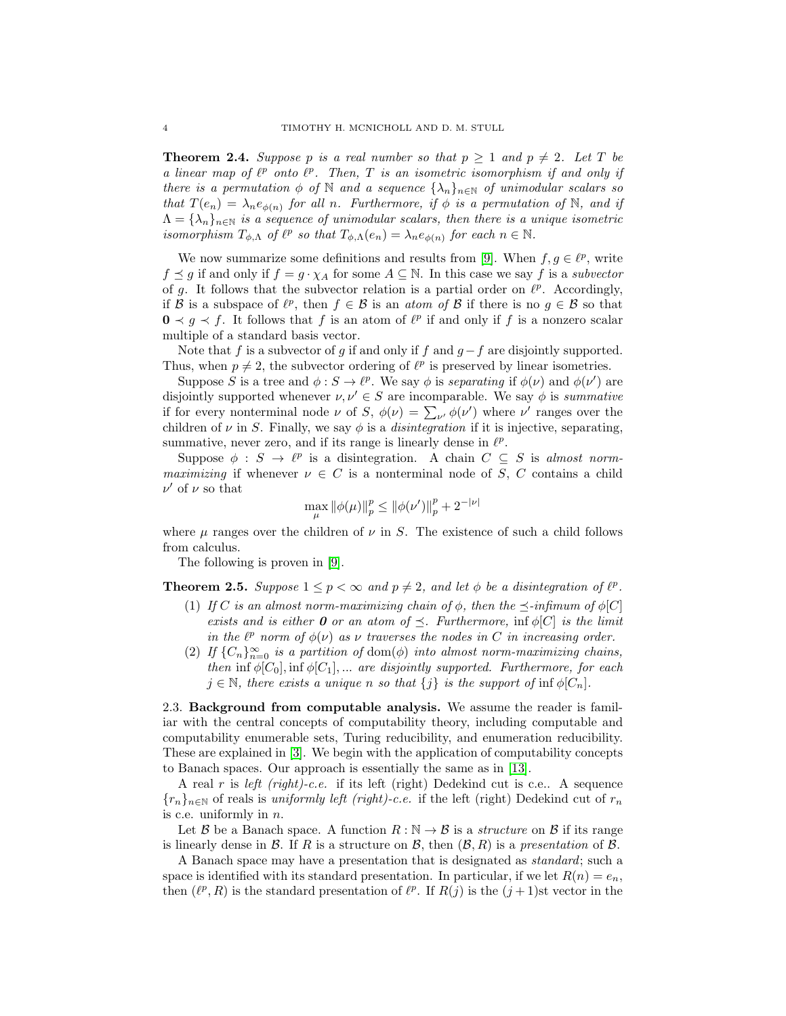<span id="page-3-3"></span>**Theorem 2.4.** *Suppose* p *is a real number so that*  $p \ge 1$  *and*  $p \ne 2$ *. Let* T *be a linear map of*  $\ell^p$  *onto*  $\ell^p$ . Then, T *is an isometric isomorphism if and only if there is a permutation*  $\phi$  *of* N *and a sequence*  $\{\lambda_n\}_{n\in\mathbb{N}}$  *of unimodular scalars so that*  $T(e_n) = \lambda_n e_{\phi(n)}$  *for all n. Furthermore, if*  $\phi$  *is a permutation of* N*, and if*  $\Lambda = {\lambda_n}_{n \in \mathbb{N}}$  *is a sequence of unimodular scalars, then there is a unique isometric isomorphism*  $T_{\phi,\Lambda}$  *of*  $\ell^p$  *so that*  $T_{\phi,\Lambda}(e_n) = \lambda_n e_{\phi(n)}$  *for each*  $n \in \mathbb{N}$ *.* 

We now summarize some definitions and results from [\[9\]](#page-11-6). When  $f, g \in \ell^p$ , write  $f \preceq g$  if and only if  $f = g \cdot \chi_A$  for some  $A \subseteq \mathbb{N}$ . In this case we say f is a *subvector* of g. It follows that the subvector relation is a partial order on  $\ell^p$ . Accordingly, if B is a subspace of  $\ell^p$ , then  $f \in \mathcal{B}$  is an *atom of* B if there is no  $g \in \mathcal{B}$  so that  $0 \lt g \lt f$ . It follows that f is an atom of  $\ell^p$  if and only if f is a nonzero scalar multiple of a standard basis vector.

Note that f is a subvector of g if and only if f and  $g-f$  are disjointly supported. Thus, when  $p \neq 2$ , the subvector ordering of  $\ell^p$  is preserved by linear isometries.

Suppose S is a tree and  $\phi : S \to \ell^p$ . We say  $\phi$  is *separating* if  $\phi(\nu)$  and  $\phi(\nu')$  are disjointly supported whenever  $\nu, \nu' \in S$  are incomparable. We say  $\phi$  is *summative* if for every nonterminal node  $\nu$  of S,  $\phi(\nu) = \sum_{\nu'} \phi(\nu')$  where  $\nu'$  ranges over the children of  $\nu$  in S. Finally, we say  $\phi$  is a *disintegration* if it is injective, separating, summative, never zero, and if its range is linearly dense in  $\ell^p$ .

Suppose  $\phi : S \to \ell^p$  is a disintegration. A chain  $C \subseteq S$  is *almost normmaximizing* if whenever  $\nu \in C$  is a nonterminal node of S, C contains a child  $\nu'$  of  $\nu$  so that

$$
\max_{\mu} \|\phi(\mu)\|_p^p \le \|\phi(\nu')\|_p^p + 2^{-|\nu|}
$$

where  $\mu$  ranges over the children of  $\nu$  in S. The existence of such a child follows from calculus.

The following is proven in [\[9\]](#page-11-6).

<span id="page-3-1"></span><span id="page-3-0"></span>**Theorem 2.5.** *Suppose*  $1 \leq p < \infty$  *and*  $p \neq 2$ *, and let*  $\phi$  *be a disintegration of*  $\ell^p$ *.* 

- (1) *If* C is an almost norm-maximizing chain of  $\phi$ , then the  $\preceq$ -infimum of  $\phi[C]$ *exists and is either* **0** *or an atom of*  $\preceq$ *. Furthermore,* inf  $\phi[C]$  *is the limit in the*  $\ell^p$  *norm of*  $\phi(\nu)$  *as*  $\nu$  *traverses the nodes in* C *in increasing order.*
- <span id="page-3-2"></span>(2) *If*  ${C_n}_{n=0}^{\infty}$  *is a partition of* dom( $\phi$ ) *into almost norm-maximizing chains, then* inf  $\phi[C_0]$ , inf  $\phi[C_1]$ , ... *are disjointly supported. Furthermore, for each*  $j \in \mathbb{N}$ , there exists a unique n so that  $\{j\}$  is the support of  $\inf \phi[C_n]$ .

2.3. Background from computable analysis. We assume the reader is familiar with the central concepts of computability theory, including computable and computability enumerable sets, Turing reducibility, and enumeration reducibility. These are explained in [\[3\]](#page-11-12). We begin with the application of computability concepts to Banach spaces. Our approach is essentially the same as in [\[13\]](#page-11-5).

A real r is *left (right)-c.e.* if its left (right) Dedekind cut is c.e.. A sequence  ${r_n}_{n\in\mathbb{N}}$  of reals is *uniformly left (right)-c.e.* if the left (right) Dedekind cut of  $r_n$ is c.e. uniformly in  $n$ .

Let B be a Banach space. A function  $R : \mathbb{N} \to \mathcal{B}$  is a *structure* on B if its range is linearly dense in  $\mathcal B$ . If  $R$  is a structure on  $\mathcal B$ , then  $(\mathcal B, R)$  is a *presentation* of  $\mathcal B$ .

A Banach space may have a presentation that is designated as *standard*; such a space is identified with its standard presentation. In particular, if we let  $R(n) = e_n$ , then  $(\ell^p, R)$  is the standard presentation of  $\ell^p$ . If  $R(j)$  is the  $(j + 1)$ st vector in the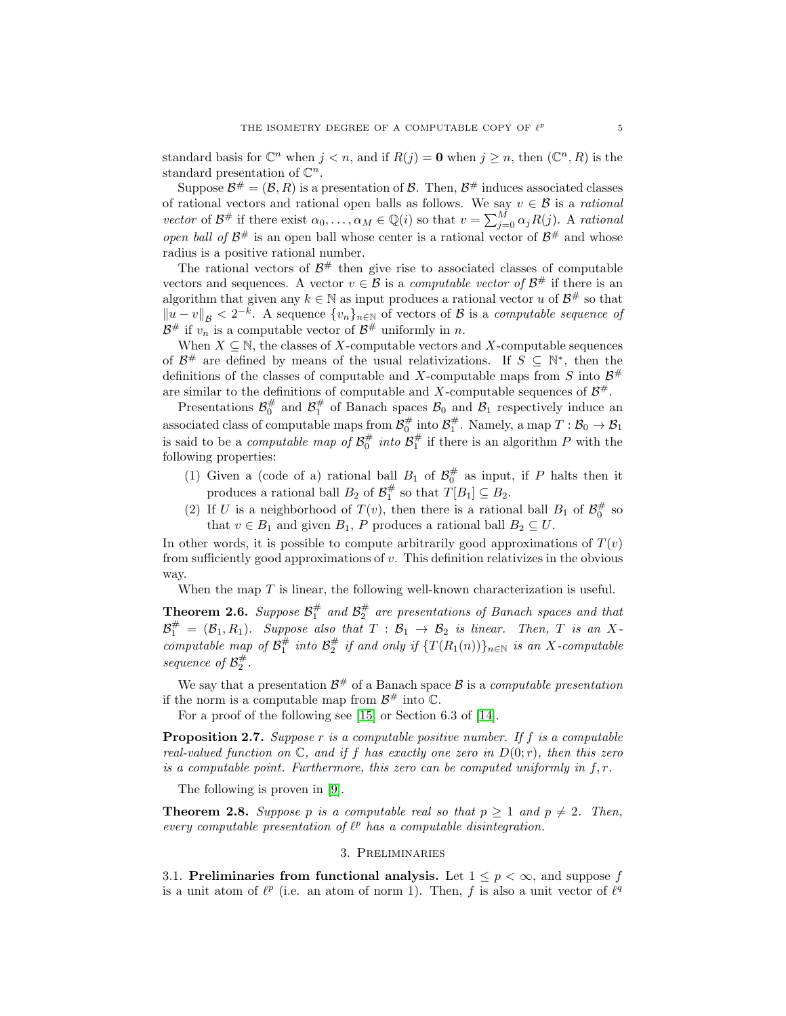standard basis for  $\mathbb{C}^n$  when  $j < n$ , and if  $R(j) = \mathbf{0}$  when  $j \geq n$ , then  $(\mathbb{C}^n, R)$  is the standard presentation of  $\mathbb{C}^n$ .

Suppose  $\mathcal{B}^{\#} = (\mathcal{B}, R)$  is a presentation of  $\mathcal{B}$ . Then,  $\mathcal{B}^{\#}$  induces associated classes of rational vectors and rational open balls as follows. We say  $v \in \mathcal{B}$  is a *rational vector* of  $\mathcal{B}^{\#}$  if there exist  $\alpha_0, \ldots, \alpha_M \in \mathbb{Q}(i)$  so that  $v = \sum_{j=0}^M \alpha_j R(j)$ . A *rational open ball of*  $\mathcal{B}^{\#}$  is an open ball whose center is a rational vector of  $\mathcal{B}^{\#}$  and whose radius is a positive rational number.

The rational vectors of  $\mathcal{B}^{\#}$  then give rise to associated classes of computable vectors and sequences. A vector  $v \in \mathcal{B}$  is a *computable vector of*  $\mathcal{B}^{\#}$  if there is an algorithm that given any  $k \in \mathbb{N}$  as input produces a rational vector u of  $\mathcal{B}^{\#}$  so that  $||u - v||_{\mathcal{B}} < 2^{-k}$ . A sequence  $\{v_n\}_{n \in \mathbb{N}}$  of vectors of  $\mathcal{B}$  is a *computable sequence of*  $\mathcal{B}^{\#}$  if  $v_n$  is a computable vector of  $\mathcal{B}^{\#}$  uniformly in n.

When  $X \subseteq \mathbb{N}$ , the classes of X-computable vectors and X-computable sequences of  $\mathcal{B}^{\#}$  are defined by means of the usual relativizations. If  $S \subseteq \mathbb{N}^*$ , then the definitions of the classes of computable and X-computable maps from S into  $\mathcal{B}^{\#}$ are similar to the definitions of computable and X-computable sequences of  $\mathcal{B}^{\#}$ .

Presentations  $\mathcal{B}_0^{\#}$  and  $\mathcal{B}_1^{\#}$  of Banach spaces  $\mathcal{B}_0$  and  $\mathcal{B}_1$  respectively induce an associated class of computable maps from  $\mathcal{B}_0^{\#}$  into  $\mathcal{B}_1^{\#}$ . Namely, a map  $T : \mathcal{B}_0 \to \mathcal{B}_1$ is said to be a *computable map of*  $\mathcal{B}_0^{\#}$  *into*  $\mathcal{B}_1^{\#}$  if there is an algorithm P with the following properties:

- (1) Given a (code of a) rational ball  $B_1$  of  $\mathcal{B}_0^{\#}$  as input, if P halts then it produces a rational ball  $B_2$  of  $\mathcal{B}_1^{\#}$  so that  $T[B_1] \subseteq B_2$ .
- (2) If U is a neighborhood of  $T(v)$ , then there is a rational ball  $B_1$  of  $\mathcal{B}_0^{\#}$  so that  $v \in B_1$  and given  $B_1$ , P produces a rational ball  $B_2 \subseteq U$ .

In other words, it is possible to compute arbitrarily good approximations of  $T(v)$ from sufficiently good approximations of v. This definition relativizes in the obvious way.

When the map  $T$  is linear, the following well-known characterization is useful.

<span id="page-4-1"></span>**Theorem 2.6.** Suppose  $\mathcal{B}_1^{\#}$  and  $\mathcal{B}_2^{\#}$  are presentations of Banach spaces and that  $\mathcal{B}_1^{\#}$  =  $(\mathcal{B}_1, R_1)$ *. Suppose also that*  $T : \mathcal{B}_1 \rightarrow \mathcal{B}_2$  *is linear. Then,*  $T$  *is an*  $X$ *computable map of*  $\mathcal{B}_1^{\#}$  *into*  $\mathcal{B}_2^{\#}$  *if and only if*  $\{T(R_1(n))\}_{n\in\mathbb{N}}$  *is an* X-computable sequence of  $\mathcal{B}_2^{\#}$ .

We say that a presentation  $\mathcal{B}^{\#}$  of a Banach space  $\mathcal{B}$  is a *computable presentation* if the norm is a computable map from  $\mathcal{B}^{\#}$  into  $\mathbb{C}$ .

For a proof of the following see [\[15\]](#page-11-13) or Section 6.3 of [\[14\]](#page-11-14).

<span id="page-4-3"></span>Proposition 2.7. *Suppose* r *is a computable positive number. If* f *is a computable real-valued function on*  $\mathbb{C}$ *, and if* f has exactly one zero in  $D(0;r)$ *, then this zero is a computable point. Furthermore, this zero can be computed uniformly in*  $f, r$ .

The following is proven in [\[9\]](#page-11-6).

<span id="page-4-0"></span>**Theorem 2.8.** Suppose p is a computable real so that  $p \ge 1$  and  $p \ne 2$ . Then, *every computable presentation of*  $\ell^p$  *has a computable disintegration.* 

### 3. Preliminaries

<span id="page-4-2"></span>3.1. Preliminaries from functional analysis. Let  $1 \leq p < \infty$ , and suppose f is a unit atom of  $\ell^p$  (i.e. an atom of norm 1). Then, f is also a unit vector of  $\ell^q$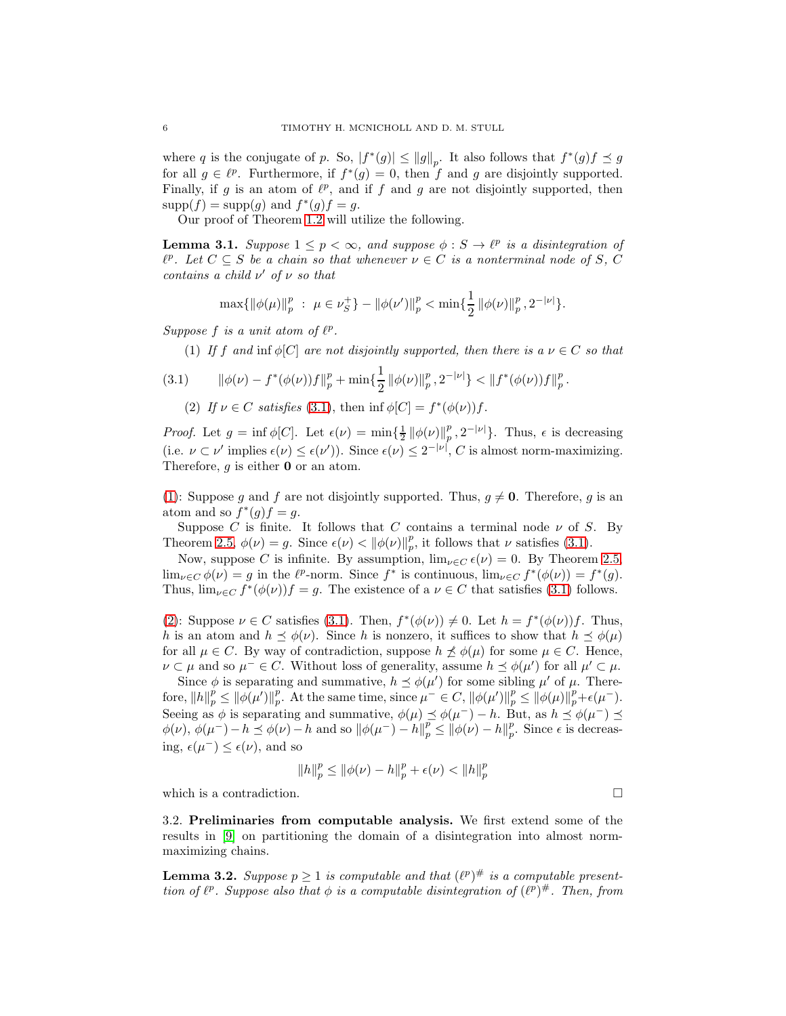where q is the conjugate of p. So,  $|f^*(g)| \le ||g||_p$ . It also follows that  $f^*(g)f \le g$ for all  $g \in \ell^p$ . Furthermore, if  $f^*(g) = 0$ , then f and g are disjointly supported. Finally, if g is an atom of  $\ell^p$ , and if f and g are not disjointly supported, then  $supp(f) = supp(g)$  and  $f^*(g)f = g$ .

Our proof of Theorem [1.2](#page-1-0) will utilize the following.

<span id="page-5-4"></span>**Lemma 3.1.** *Suppose*  $1 \leq p < \infty$ , and suppose  $\phi : S \to \ell^p$  is a disintegration of  $\ell^p$ . Let  $C \subseteq S$  be a chain so that whenever  $\nu \in C$  is a nonterminal node of S, C *contains a child* ν ′ *of* ν *so that*

$$
\max\{\|\phi(\mu)\|_p^p \ : \ \mu \in \nu_S^+\} - \|\phi(\nu')\|_p^p < \min\{\frac{1}{2} \|\phi(\nu)\|_p^p, 2^{-|\nu|}\}.
$$

<span id="page-5-1"></span>*Suppose*  $f$  *is a unit atom of*  $\ell^p$ *.* 

(1) *If* f and inf  $\phi[C]$  are not disjointly supported, then there is a  $\nu \in C$  so that

$$
(3.1) \qquad \|\phi(\nu)-f^*(\phi(\nu))f\|_p^p+\min\{\frac{1}{2}\|\phi(\nu)\|_p^p,2^{-|\nu|}\}<\|f^*(\phi(\nu))f\|_p^p.
$$

<span id="page-5-2"></span><span id="page-5-0"></span>(2) If  $\nu \in C$  *satisfies* [\(3.1\)](#page-5-0), then  $\inf \phi[C] = f^*(\phi(\nu))f$ .

*Proof.* Let  $g = \inf \phi[C]$ . Let  $\epsilon(\nu) = \min \{ \frac{1}{2} || \phi(\nu) ||_p^p$  $_p^p, 2^{-|\nu|}$ . Thus,  $\epsilon$  is decreasing (i.e.  $\nu \subset \nu'$  implies  $\epsilon(\nu) \leq \epsilon(\nu')$ ). Since  $\epsilon(\nu) \leq 2^{-|\nu|}$ , C is almost norm-maximizing. Therefore,  $g$  is either  $\mathbf 0$  or an atom.

[\(1\)](#page-5-1): Suppose g and f are not disjointly supported. Thus,  $g \neq 0$ . Therefore, g is an atom and so  $f^*(g)f = g$ .

Suppose C is finite. It follows that C contains a terminal node  $\nu$  of S. By Theorem [2.5,](#page-3-0)  $\phi(\nu) = g$ . Since  $\epsilon(\nu) < ||\phi(\nu)||_p^p$  $_p^p$ , it follows that  $\nu$  satisfies [\(3.1\)](#page-5-0).

Now, suppose C is infinite. By assumption,  $\lim_{\nu \in C} \epsilon(\nu) = 0$ . By Theorem [2.5,](#page-3-0)  $\lim_{\nu \in C} \phi(\nu) = g$  in the  $\ell^p$ -norm. Since  $f^*$  is continuous,  $\lim_{\nu \in C} f^*(\phi(\nu)) = f^*(g)$ . Thus,  $\lim_{\nu \in C} f^*(\phi(\nu))f = g$ . The existence of a  $\nu \in C$  that satisfies [\(3.1\)](#page-5-0) follows.

[\(2\)](#page-5-2): Suppose  $\nu \in C$  satisfies [\(3.1\)](#page-5-0). Then,  $f^*(\phi(\nu)) \neq 0$ . Let  $h = f^*(\phi(\nu))f$ . Thus, h is an atom and  $h \preceq \phi(\nu)$ . Since h is nonzero, it suffices to show that  $h \preceq \phi(\mu)$ for all  $\mu \in C$ . By way of contradiction, suppose  $h \npreceq \phi(\mu)$  for some  $\mu \in C$ . Hence,  $\nu \subset \mu$  and so  $\mu^- \in C$ . Without loss of generality, assume  $h \preceq \phi(\mu')$  for all  $\mu' \subset \mu$ .

Since  $\phi$  is separating and summative,  $h \preceq \phi(\mu')$  for some sibling  $\mu'$  of  $\mu$ . Therefore,  $\left\Vert h \right\Vert p \stackrel{p}{\leq} \left\Vert \phi(\mu') \right\Vert p$ p. At the same time, since  $\mu^- \in C$ ,  $\|\phi(\mu')\|_p^p \le \|\phi(\mu)\|_p^p + \epsilon(\mu^-)$ . Seeing as  $\phi$  is separating and summative,  $\phi(\mu) \preceq \phi(\mu^-) - h$ . But, as  $h \preceq \phi(\mu^-) \preceq$  $\phi(\nu), \phi(\mu^-) - h \preceq \phi(\nu) - h$  and so  $\|\phi(\mu^-) - h\|_p^p \le \|\phi(\nu) - h\|_p^p$ . Since  $\epsilon$  is decreasing,  $\epsilon(\mu^-) \leq \epsilon(\nu)$ , and so

$$
||h||_p^p \le ||\phi(\nu) - h||_p^p + \epsilon(\nu) < ||h||_p^p
$$

which is a contradiction.  $\Box$ 

3.2. Preliminaries from computable analysis. We first extend some of the results in [\[9\]](#page-11-6) on partitioning the domain of a disintegration into almost normmaximizing chains.

<span id="page-5-3"></span>**Lemma 3.2.** Suppose  $p \geq 1$  is computable and that  $(\ell^p)^{\#}$  is a computable present*tion of*  $\ell^p$ . Suppose also that  $\phi$  *is a computable disintegration of*  $(\ell^p)^{\#}$ . Then, from

$$
\mathbf{r}^{\prime}
$$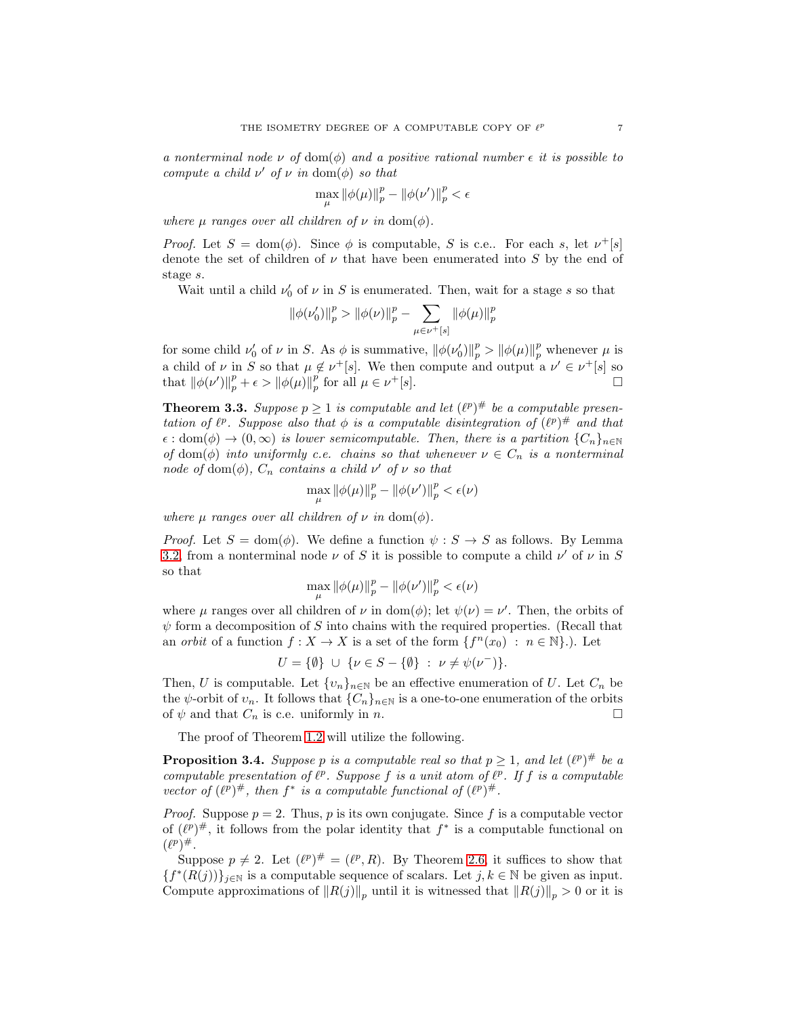*a nonterminal node*  $\nu$  *of* dom( $\phi$ ) *and a positive rational number*  $\epsilon$  *it is possible to compute a child*  $\nu'$  *of*  $\nu$  *in* dom $(\phi)$  *so that* 

$$
\max_{\mu} \|\phi(\mu)\|_p^p - \|\phi(\nu')\|_p^p < \epsilon
$$

*where*  $\mu$  *ranges over all children of*  $\nu$  *in* dom( $\phi$ ).

*Proof.* Let  $S = \text{dom}(\phi)$ . Since  $\phi$  is computable, S is c.e.. For each s, let  $\nu^+[s]$ denote the set of children of  $\nu$  that have been enumerated into S by the end of stage s.

Wait until a child  $\nu'_0$  of  $\nu$  in S is enumerated. Then, wait for a stage s so that

$$
\left\Vert \phi(\nu_0') \right\Vert_p^p > \left\Vert \phi(\nu) \right\Vert_p^p - \sum_{\mu \in \nu^+ \left[ s \right] } \left\Vert \phi(\mu) \right\Vert_p^p
$$

for some child  $\nu_0'$  of  $\nu$  in S. As  $\phi$  is summative,  $\|\phi(\nu_0')\|_p^p > \|\phi(\mu)\|_p^p$  whenever  $\mu$  is a child of  $\nu$  in S so that  $\mu \notin \nu^+[s]$ . We then compute and output a  $\nu' \in \nu^+[s]$  so that  $\|\phi(\nu')\|_p^p + \epsilon > \|\phi(\mu)\|_p^p$  $_p^p$  for all  $\mu \in \nu$  $^{+}[s]$ .

<span id="page-6-0"></span>**Theorem 3.3.** *Suppose*  $p \geq 1$  *is computable and let*  $(\ell^p)^{\#}$  *be a computable presentation of*  $\ell^p$ . Suppose also that  $\phi$  *is a computable disintegration of*  $(\ell^p)^{\#}$  *and that*  $\epsilon : dom(\phi) \to (0,\infty)$  *is lower semicomputable. Then, there is a partition*  ${C_n}_{n\in\mathbb{N}}$ *of* dom( $\phi$ ) *into uniformly c.e. chains so that whenever*  $\nu \in C_n$  *is a nonterminal node* of dom $(\phi)$ ,  $C_n$  *contains a child*  $\nu'$  *of*  $\nu$  *so that* 

$$
\max_{\mu} \|\phi(\mu)\|_p^p - \|\phi(\nu')\|_p^p < \epsilon(\nu)
$$

*where*  $\mu$  *ranges over all children of*  $\nu$  *in* dom( $\phi$ ).

*Proof.* Let  $S = \text{dom}(\phi)$ . We define a function  $\psi : S \to S$  as follows. By Lemma [3.2,](#page-5-3) from a nonterminal node  $\nu$  of S it is possible to compute a child  $\nu'$  of  $\nu$  in S so that

$$
\max_{\mu}\left\|\phi(\mu)\right\|_p^p-\left\|\phi(\nu')\right\|_p^p<\epsilon(\nu)
$$

where  $\mu$  ranges over all children of  $\nu$  in dom( $\phi$ ); let  $\psi(\nu) = \nu'$ . Then, the orbits of  $\psi$  form a decomposition of S into chains with the required properties. (Recall that an *orbit* of a function  $f: X \to X$  is a set of the form  $\{f^n(x_0) : n \in \mathbb{N}\}\.$  Let

$$
U = \{\emptyset\} \cup \{\nu \in S - \{\emptyset\} : \nu \neq \psi(\nu^{-})\}.
$$

Then, U is computable. Let  $\{v_n\}_{n\in\mathbb{N}}$  be an effective enumeration of U. Let  $C_n$  be the  $\psi$ -orbit of  $v_n$ . It follows that  $\{C_n\}_{n\in\mathbb{N}}$  is a one-to-one enumeration of the orbits of  $\psi$  and that  $C_n$  is c.e. uniformly in n.

The proof of Theorem [1.2](#page-1-0) will utilize the following.

<span id="page-6-1"></span>**Proposition 3.4.** Suppose p is a computable real so that  $p \geq 1$ , and let  $(\ell^p)^{\#}$  be a *computable presentation of*  $\ell^p$ . Suppose f *is a unit atom of*  $\ell^p$ . If f *is a computable vector of*  $(\ell^p)^{\#}$ *, then*  $f^*$  *is a computable functional of*  $(\ell^p)^{\#}$ *.* 

*Proof.* Suppose  $p = 2$ . Thus, p is its own conjugate. Since f is a computable vector of  $(\ell^p)^\#$ , it follows from the polar identity that  $f^*$  is a computable functional on  $(\ell^p)^\#$ .

Suppose  $p \neq 2$ . Let  $(\ell^p)^{\#} = (\ell^p, R)$ . By Theorem [2.6,](#page-4-1) it suffices to show that  ${f^*(R(j))}_{j \in \mathbb{N}}$  is a computable sequence of scalars. Let  $j, k \in \mathbb{N}$  be given as input. Compute approximations of  $||R(j)||_p$  until it is witnessed that  $||R(j)||_p > 0$  or it is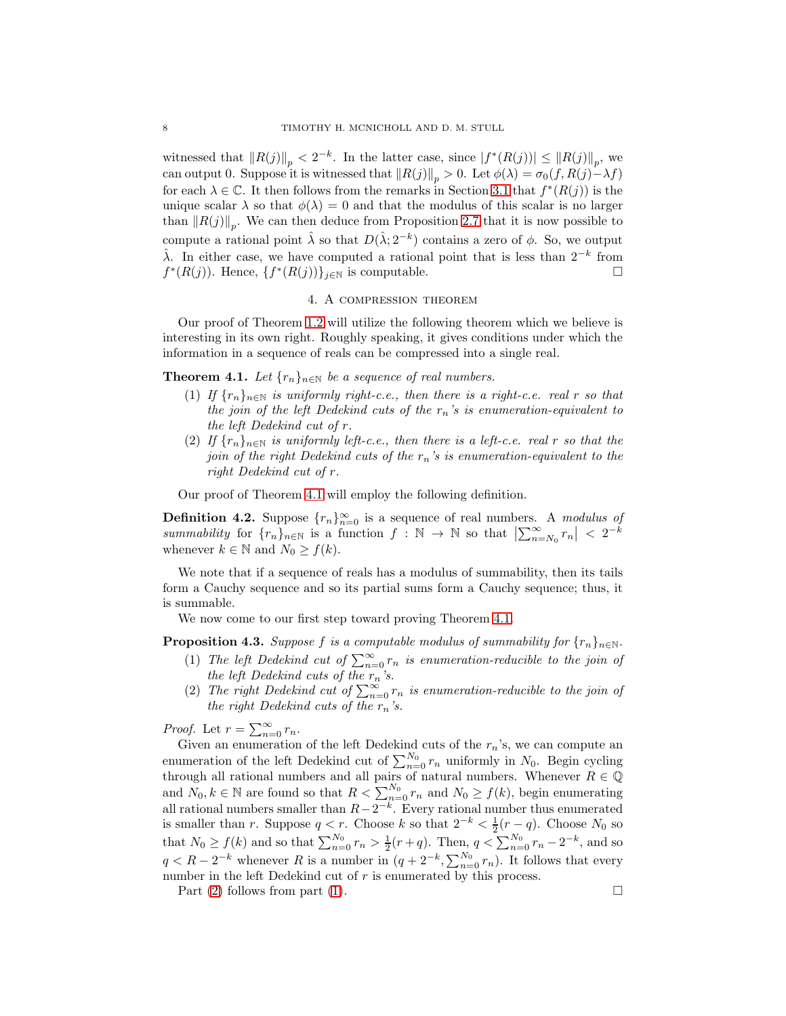witnessed that  $||R(j)||_p < 2^{-k}$ . In the latter case, since  $|f^*(R(j))| \leq ||R(j)||_p$ , we can output 0. Suppose it is witnessed that  $||R(j)||_p > 0$ . Let  $\phi(\lambda) = \sigma_0(f, R(j) - \lambda f)$ for each  $\lambda \in \mathbb{C}$ . It then follows from the remarks in Section [3.1](#page-4-2) that  $f^*(R(j))$  is the unique scalar  $\lambda$  so that  $\phi(\lambda) = 0$  and that the modulus of this scalar is no larger than  $||R(j)||_p$ . We can then deduce from Proposition [2.7](#page-4-3) that it is now possible to compute a rational point  $\hat{\lambda}$  so that  $D(\hat{\lambda}; 2^{-k})$  contains a zero of  $\phi$ . So, we output  $\hat{\lambda}$ . In either case, we have computed a rational point that is less than  $2^{-k}$  from  $f^*(R(j))$ . Hence,  $\{f^*(R(j))\}_{j\in\mathbb{N}}$  is computable.

#### 4. A compression theorem

<span id="page-7-0"></span>Our proof of Theorem [1.2](#page-1-0) will utilize the following theorem which we believe is interesting in its own right. Roughly speaking, it gives conditions under which the information in a sequence of reals can be compressed into a single real.

<span id="page-7-6"></span><span id="page-7-1"></span>**Theorem 4.1.** *Let*  $\{r_n\}_{n\in\mathbb{N}}$  *be a sequence of real numbers.* 

- (1) *If*  $\{r_n\}_{n\in\mathbb{N}}$  *is uniformly right-c.e., then there is a right-c.e. real* r *so that the join of the left Dedekind cuts of the*  $r_n$ 's *is enumeration-equivalent to the left Dedekind cut of* r*.*
- <span id="page-7-5"></span>(2) *If*  $\{r_n\}_{n\in\mathbb{N}}$  *is uniformly left-c.e., then there is a left-c.e. real* r *so that the join of the right Dedekind cuts of the*  $r_n$ 's is enumeration-equivalent to the *right Dedekind cut of* r*.*

Our proof of Theorem [4.1](#page-7-1) will employ the following definition.

**Definition 4.2.** Suppose  $\{r_n\}_{n=0}^{\infty}$  is a sequence of real numbers. A *modulus of*  $summability$  for  $\{r_n\}_{n\in\mathbb{N}}$  is a function  $f:\mathbb{N}\to\mathbb{N}$  so that  $\left|\sum_{n=N_0}^{\infty}r_n\right| < 2^{-k}$ whenever  $k \in \mathbb{N}$  and  $N_0 \geq f(k)$ .

We note that if a sequence of reals has a modulus of summability, then its tails form a Cauchy sequence and so its partial sums form a Cauchy sequence; thus, it is summable.

We now come to our first step toward proving Theorem [4.1.](#page-7-1)

<span id="page-7-4"></span><span id="page-7-3"></span>**Proposition 4.3.** *Suppose* f *is a computable modulus of summability for*  $\{r_n\}_{n\in\mathbb{N}}$ .

- (1) The left Dedekind cut of  $\sum_{n=0}^{\infty} r_n$  is enumeration-reducible to the join of *the left Dedekind cuts of the*  $r_n$ *'s.*
- <span id="page-7-2"></span>(2) The right Dedekind cut of  $\sum_{n=0}^{\infty} r_n$  is enumeration-reducible to the join of *the right Dedekind cuts of the*  $r_n$ 's.

*Proof.* Let  $r = \sum_{n=0}^{\infty} r_n$ .

Given an enumeration of the left Dedekind cuts of the  $r_n$ 's, we can compute an enumeration of the left Dedekind cut of  $\sum_{n=0}^{N_0} r_n$  uniformly in  $N_0$ . Begin cycling through all rational numbers and all pairs of natural numbers. Whenever  $R \in \mathbb{Q}$ and  $N_0, k \in \mathbb{N}$  are found so that  $R < \sum_{n=0}^{N_0} r_n$  and  $N_0 \ge f(k)$ , begin enumerating all rational numbers smaller than  $R-2^{-k}$ . Every rational number thus enumerated is smaller than r. Suppose  $q < r$ . Choose k so that  $2^{-k} < \frac{1}{2}(r-q)$ . Choose  $N_0$  so that  $N_0 \ge f(k)$  and so that  $\sum_{n=0}^{N_0} r_n > \frac{1}{2}(r+q)$ . Then,  $q < \sum_{n=0}^{N_0} r_n - 2^{-k}$ , and so  $q < R - 2^{-k}$  whenever R is a number in  $(q + 2^{-k}, \sum_{n=0}^{N_0} r_n)$ . It follows that every number in the left Dedekind cut of  $r$  is enumerated by this process.

Part [\(2\)](#page-7-2) follows from part [\(1\)](#page-7-3).  $\Box$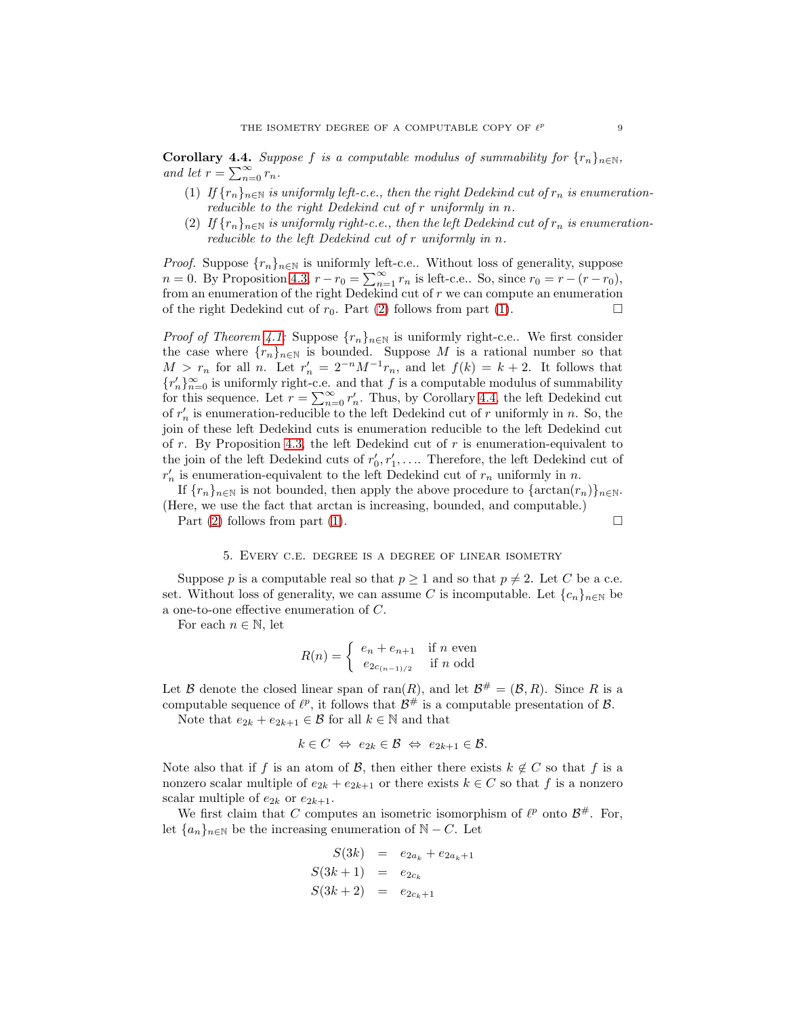<span id="page-8-3"></span><span id="page-8-2"></span>**Corollary 4.4.** *Suppose* f *is a computable modulus of summability for*  $\{r_n\}_{n\in\mathbb{N}}$ , *and let*  $r = \sum_{n=0}^{\infty} r_n$ .

- (1) If  $\{r_n\}_{n\in\mathbb{N}}$  *is uniformly left-c.e., then the right Dedekind cut of*  $r_n$  *is enumerationreducible to the right Dedekind cut of* r *uniformly in* n*.*
- <span id="page-8-1"></span>(2) If  $\{r_n\}_{n\in\mathbb{N}}$  is uniformly right-c.e., then the left Dedekind cut of  $r_n$  is enumeration*reducible to the left Dedekind cut of* r *uniformly in* n*.*

*Proof.* Suppose  $\{r_n\}_{n\in\mathbb{N}}$  is uniformly left-c.e.. Without loss of generality, suppose  $n = 0$ . By Proposition [4.3,](#page-7-4)  $r - r_0 = \sum_{n=1}^{\infty} r_n$  is left-c.e.. So, since  $r_0 = r - (r - r_0)$ , from an enumeration of the right Dedekind cut of  $r$  we can compute an enumeration of the right Dedekind cut of  $r_0$ . Part [\(2\)](#page-8-1) follows from part [\(1\)](#page-8-2).

*Proof of Theorem [4.1:](#page-7-1)* Suppose  $\{r_n\}_{n\in\mathbb{N}}$  is uniformly right-c.e.. We first consider the case where  $\{r_n\}_{n\in\mathbb{N}}$  is bounded. Suppose M is a rational number so that  $M > r_n$  for all n. Let  $r'_n = 2^{-n} M^{-1} r_n$ , and let  $f(k) = k + 2$ . It follows that  ${r'_n}_{n=0}$  is uniformly right-c.e. and that *f* is a computable modulus of summability for this sequence. Let  $r = \sum_{n=0}^{\infty} r'_n$ . Thus, by Corollary [4.4,](#page-8-3) the left Dedekind cut of  $r'_n$  is enumeration-reducible to the left Dedekind cut of r uniformly in n. So, the join of these left Dedekind cuts is enumeration reducible to the left Dedekind cut of  $r$ . By Proposition [4.3,](#page-7-4) the left Dedekind cut of  $r$  is enumeration-equivalent to the join of the left Dedekind cuts of  $r'_0, r'_1, \ldots$  Therefore, the left Dedekind cut of  $r'_n$  is enumeration-equivalent to the left Dedekind cut of  $r_n$  uniformly in n.

If  $\{r_n\}_{n\in\mathbb{N}}$  is not bounded, then apply the above procedure to  $\{\arctan(r_n)\}_{n\in\mathbb{N}}$ . (Here, we use the fact that arctan is increasing, bounded, and computable.)

<span id="page-8-0"></span>Part [\(2\)](#page-7-5) follows from part [\(1\)](#page-7-6).  $\square$ 

#### 5. Every c.e. degree is a degree of linear isometry

Suppose p is a computable real so that  $p \ge 1$  and so that  $p \ne 2$ . Let C be a c.e. set. Without loss of generality, we can assume C is incomputable. Let  ${c_n}_{n\in\mathbb{N}}$  be a one-to-one effective enumeration of C.

For each  $n \in \mathbb{N}$ , let

$$
R(n) = \begin{cases} e_n + e_{n+1} & \text{if } n \text{ even} \\ e_{2c_{(n-1)/2}} & \text{if } n \text{ odd} \end{cases}
$$

Let B denote the closed linear span of ran(R), and let  $\mathcal{B}^{\#} = (\mathcal{B}, R)$ . Since R is a computable sequence of  $\ell^p$ , it follows that  $\mathcal{B}^{\#}$  is a computable presentation of  $\mathcal{B}$ .

Note that  $e_{2k} + e_{2k+1} \in \mathcal{B}$  for all  $k \in \mathbb{N}$  and that

$$
k \in C \Leftrightarrow e_{2k} \in \mathcal{B} \Leftrightarrow e_{2k+1} \in \mathcal{B}.
$$

Note also that if f is an atom of B, then either there exists  $k \notin C$  so that f is a nonzero scalar multiple of  $e_{2k} + e_{2k+1}$  or there exists  $k \in C$  so that f is a nonzero scalar multiple of  $e_{2k}$  or  $e_{2k+1}$ .

We first claim that C computes an isometric isomorphism of  $\ell^p$  onto  $\mathcal{B}^{\#}$ . For, let  ${a_n}_{n\in\mathbb{N}}$  be the increasing enumeration of  $\mathbb{N} - C$ . Let

$$
S(3k) = e_{2a_k} + e_{2a_k+1}
$$
  

$$
S(3k+1) = e_{2c_k}
$$
  

$$
S(3k+2) = e_{2c_k+1}
$$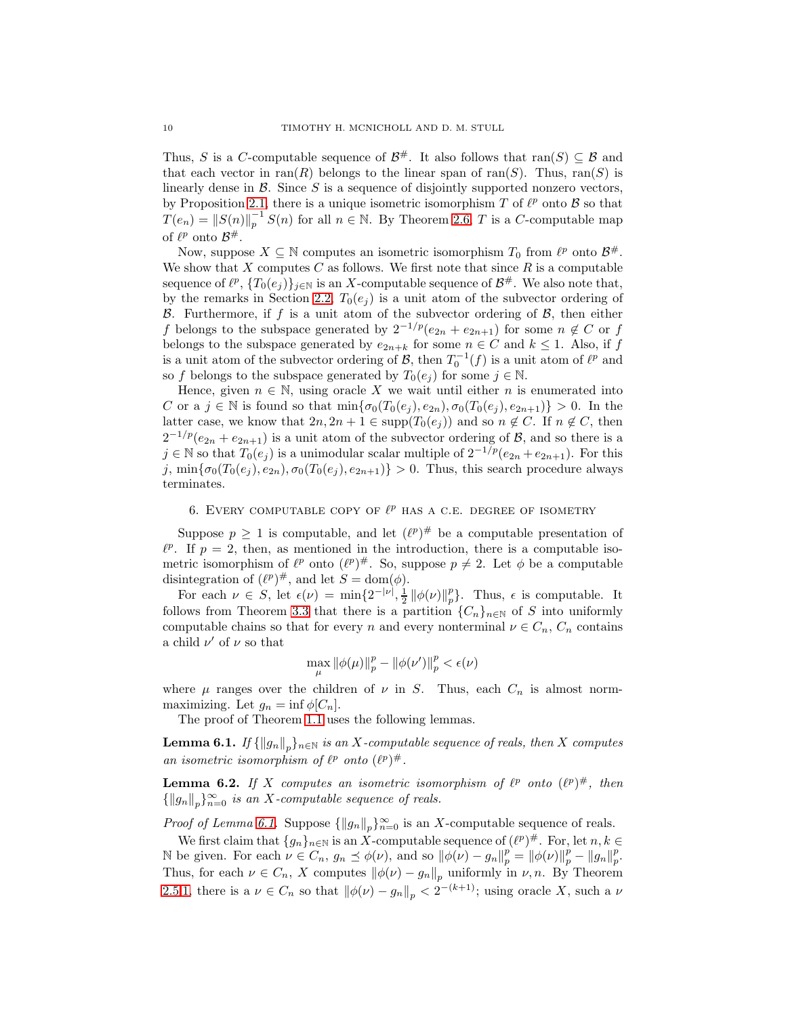Thus, S is a C-computable sequence of  $\mathcal{B}^{\#}$ . It also follows that ran(S)  $\subseteq \mathcal{B}$  and that each vector in  $\text{ran}(R)$  belongs to the linear span of  $\text{ran}(S)$ . Thus,  $\text{ran}(S)$  is linearly dense in  $\mathcal B$ . Since  $S$  is a sequence of disjointly supported nonzero vectors, by Proposition [2.1,](#page-2-1) there is a unique isometric isomorphism T of  $\ell^p$  onto B so that  $T(e_n) = ||S(n)||_p^{-1} S(n)$  for all  $n \in \mathbb{N}$ . By Theorem [2.6,](#page-4-1) T is a C-computable map of  $\ell^p$  onto  $\mathcal{B}^{\#}$ .

Now, suppose  $X \subseteq \mathbb{N}$  computes an isometric isomorphism  $T_0$  from  $\ell^p$  onto  $\mathcal{B}^{\#}$ . We show that  $X$  computes  $C$  as follows. We first note that since  $R$  is a computable sequence of  $\ell^p$ ,  $\{T_0(e_j)\}_{j\in\mathbb{N}}$  is an X-computable sequence of  $\mathcal{B}^{\#}$ . We also note that, by the remarks in Section [2.2,](#page-1-2)  $T_0(e_i)$  is a unit atom of the subvector ordering of B. Furthermore, if f is a unit atom of the subvector ordering of  $\mathcal{B}$ , then either f belongs to the subspace generated by  $2^{-1/p}(e_{2n} + e_{2n+1})$  for some  $n \notin C$  or f belongs to the subspace generated by  $e_{2n+k}$  for some  $n \in C$  and  $k \leq 1$ . Also, if  $f$ is a unit atom of the subvector ordering of  $\mathcal{B}$ , then  $T_0^{-1}(f)$  is a unit atom of  $\ell^p$  and so f belongs to the subspace generated by  $T_0(e_i)$  for some  $j \in \mathbb{N}$ .

Hence, given  $n \in \mathbb{N}$ , using oracle X we wait until either n is enumerated into C or a  $j \in \mathbb{N}$  is found so that  $\min{\{\sigma_0(T_0(e_j), e_{2n}), \sigma_0(T_0(e_j), e_{2n+1})\}} > 0$ . In the latter case, we know that  $2n, 2n + 1 \in \text{supp}(T_0(e_i))$  and so  $n \notin C$ . If  $n \notin C$ , then  $2^{-1/p}(e_{2n}+e_{2n+1})$  is a unit atom of the subvector ordering of  $\mathcal{B}$ , and so there is a j ∈ N so that  $T_0(e_j)$  is a unimodular scalar multiple of  $2^{-1/p}(e_{2n}+e_{2n+1})$ . For this j,  $\min{\{\sigma_0(T_0(e_i), e_{2n}), \sigma_0(T_0(e_i), e_{2n+1})\}} > 0$ . Thus, this search procedure always terminates.

# <span id="page-9-0"></span>6. EVERY COMPUTABLE COPY OF  $\ell^p$  HAS A C.E. DEGREE OF ISOMETRY

Suppose  $p \geq 1$  is computable, and let  $(\ell^p)^{\#}$  be a computable presentation of  $\ell^p$ . If  $p = 2$ , then, as mentioned in the introduction, there is a computable isometric isomorphism of  $\ell^p$  onto  $(\ell^p)^{\#}$ . So, suppose  $p \neq 2$ . Let  $\phi$  be a computable disintegration of  $(\ell^p)^\#$ , and let  $S = \text{dom}(\phi)$ .

For each  $\nu \in S$ , let  $\epsilon(\nu) = \min\{2^{-|\nu|}, \frac{1}{2} ||\phi(\nu)||_p^p\}$ . Thus,  $\epsilon$  is computable. It follows from Theorem [3.3](#page-6-0) that there is a partition  ${C_n}_{n\in\mathbb{N}}$  of S into uniformly computable chains so that for every n and every nonterminal  $\nu \in C_n$ ,  $C_n$  contains a child  $\nu'$  of  $\nu$  so that

$$
\max_{\mu} \|\phi(\mu)\|_p^p - \|\phi(\nu')\|_p^p < \epsilon(\nu)
$$

where  $\mu$  ranges over the children of  $\nu$  in S. Thus, each  $C_n$  is almost normmaximizing. Let  $g_n = \inf \phi[C_n]$ .

The proof of Theorem [1.1](#page-1-3) uses the following lemmas.

<span id="page-9-1"></span> ${\bf Lemma 6.1.}$  *If*  $\{\|g_n\|_p\}_{n\in\mathbb{N}}$  *is an X-computable sequence of reals, then X computes an isometric isomorphism of*  $\ell^p$  *onto*  $(\ell^p)^\#$ .

<span id="page-9-2"></span>**Lemma 6.2.** If X computes an isometric isomorphism of  $\ell^p$  onto  $(\ell^p)^{\#}$ , then  ${||g_n||_p}_{n=0}^{\infty}$  *is an* X-computable sequence of reals.

*Proof of Lemma [6.1.](#page-9-1)* Suppose  $\{\|g_n\|_p\}_{n=0}^{\infty}$  is an X-computable sequence of reals.

We first claim that  $\{g_n\}_{n\in\mathbb{N}}$  is an X-computable sequence of  $(\ell^p)^{\#}$ . For, let  $n, k \in$ N be given. For each  $\nu \in C_n$ ,  $g_n \preceq \phi(\nu)$ , and so  $\|\phi(\nu) - g_n\|_p^p = \|\phi(\nu)\|_p^p - \|g_n\|_p^p$ . Thus, for each  $\nu \in C_n$ , X computes  $\|\phi(\nu) - g_n\|_p$  uniformly in  $\nu$ , n. By Theorem [2.5](#page-3-0)[.1,](#page-3-1) there is a  $\nu \in C_n$  so that  $\|\phi(\nu) - g_n\|_p < 2^{-(k+1)}$ ; using oracle X, such a  $\nu$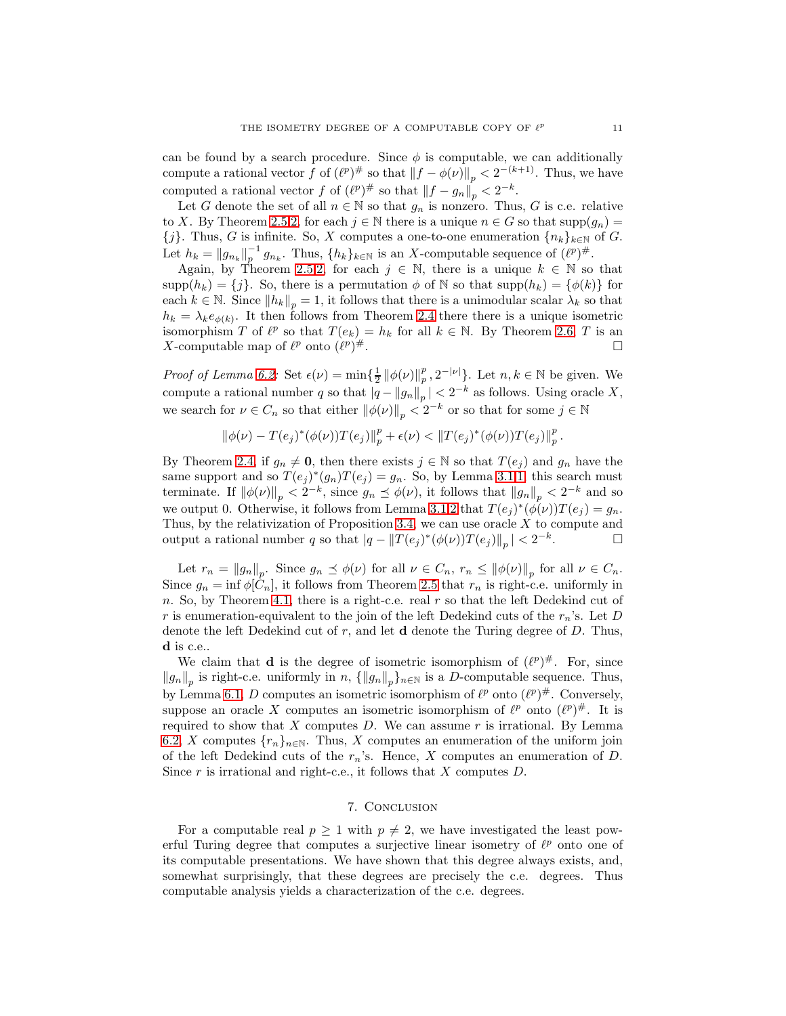can be found by a search procedure. Since  $\phi$  is computable, we can additionally compute a rational vector f of  $(\ell^p)^{\#}$  so that  $||f - \phi(\nu)||_p < 2^{-(k+1)}$ . Thus, we have computed a rational vector f of  $(\ell^p)^{\#}$  so that  $||f - g_n||_p < 2^{-k}$ .

Let G denote the set of all  $n \in \mathbb{N}$  so that  $g_n$  is nonzero. Thus, G is c.e. relative to X. By Theorem [2.5.](#page-3-0)[2,](#page-3-2) for each  $j \in \mathbb{N}$  there is a unique  $n \in G$  so that  $\text{supp}(g_n) =$  ${j}.$  Thus, G is infinite. So, X computes a one-to-one enumeration  ${n_k}_{k\in\mathbb{N}}$  of G. Let  $h_k = ||g_{n_k}||_p^{-1}$  $p^{-1} g_{n_k}$ . Thus,  $\{h_k\}_{k\in\mathbb{N}}$  is an X-computable sequence of  $(\ell^p)^{\#}$ .

Again, by Theorem [2.5.](#page-3-0)[2,](#page-3-2) for each  $j \in \mathbb{N}$ , there is a unique  $k \in \mathbb{N}$  so that  $\text{supp}(h_k) = \{j\}.$  So, there is a permutation  $\phi$  of N so that  $\text{supp}(h_k) = \{\phi(k)\}\$ for each  $k \in \mathbb{N}$ . Since  $||h_k||_p = 1$ , it follows that there is a unimodular scalar  $\lambda_k$  so that  $h_k = \lambda_k e_{\phi(k)}$ . It then follows from Theorem [2.4](#page-3-3) there there is a unique isometric isomorphism T of  $\ell^p$  so that  $T(e_k) = h_k$  for all  $k \in \mathbb{N}$ . By Theorem [2.6,](#page-4-1) T is an X-computable map of  $\ell^p$  onto  $(\ell^p)$  $#$ .

*Proof of Lemma [6.2:](#page-9-2)* Set  $\epsilon(\nu) = \min\{\frac{1}{2} ||\phi(\nu)||_p^p$  $_p^p, 2^{-|\nu|}$ . Let  $n, k \in \mathbb{N}$  be given. We compute a rational number q so that  $|q - ||g_n||_p$  |  $\lt 2^{-k}$  as follows. Using oracle X, we search for  $\nu \in C_n$  so that either  $\|\phi(\nu)\|_p < 2^{-k}$  or so that for some  $j \in \mathbb{N}$ 

$$
\|\phi(\nu) - T(e_j)^*(\phi(\nu))T(e_j)\|_p^p + \epsilon(\nu) < \|T(e_j)^*(\phi(\nu))T(e_j)\|_p^p.
$$

By Theorem [2.4,](#page-3-3) if  $g_n \neq \mathbf{0}$ , then there exists  $j \in \mathbb{N}$  so that  $T(e_j)$  and  $g_n$  have the same support and so  $T(e_j)^*(g_n)T(e_j) = g_n$ . So, by Lemma [3.1](#page-5-4)[.1,](#page-5-1) this search must terminate. If  $\|\phi(\nu)\|_p < 2^{-k}$ , since  $g_n \preceq \phi(\nu)$ , it follows that  $\|g_n\|_p < 2^{-k}$  and so we output 0. Otherwise, it follows from Lemma [3.1.](#page-5-4)[2](#page-5-2) that  $T(e_j)^*(\phi(\nu))T(e_j) = g_n$ . Thus, by the relativization of Proposition [3.4,](#page-6-1) we can use oracle  $X$  to compute and output a rational number q so that  $|q - ||T(e_j)^*(\phi(\nu))T(e_j)||_p | < 2^{-k}$ .

Let  $r_n = ||g_n||_p$ . Since  $g_n \preceq \phi(\nu)$  for all  $\nu \in C_n$ ,  $r_n \leq ||\phi(\nu)||_p$  for all  $\nu \in C_n$ . Since  $g_n = \inf \phi[\tilde{C}_n]$ , it follows from Theorem [2.5](#page-3-0) that  $r_n$  is right-c.e. uniformly in n. So, by Theorem [4.1,](#page-7-1) there is a right-c.e. real  $r$  so that the left Dedekind cut of r is enumeration-equivalent to the join of the left Dedekind cuts of the  $r_n$ 's. Let D denote the left Dedekind cut of  $r$ , and let  $d$  denote the Turing degree of  $D$ . Thus, d is c.e..

We claim that **d** is the degree of isometric isomorphism of  $(l^p)^\#$ . For, since  $||g_n||_p$  is right-c.e. uniformly in n,  $\{||g_n||_p\}_{n\in\mathbb{N}}$  is a D-computable sequence. Thus, by Lemma [6.1,](#page-9-1) D computes an isometric isomorphism of  $\ell^p$  onto  $(\ell^p)^{\#}$ . Conversely, suppose an oracle X computes an isometric isomorphism of  $\ell^p$  onto  $(\ell^p)^{\#}$ . It is required to show that  $X$  computes  $D$ . We can assume  $r$  is irrational. By Lemma [6.2,](#page-9-2) X computes  $\{r_n\}_{n\in\mathbb{N}}$ . Thus, X computes an enumeration of the uniform join of the left Dedekind cuts of the  $r_n$ 's. Hence, X computes an enumeration of D. Since  $r$  is irrational and right-c.e., it follows that  $X$  computes  $D$ .

## 7. Conclusion

For a computable real  $p \geq 1$  with  $p \neq 2$ , we have investigated the least powerful Turing degree that computes a surjective linear isometry of  $\ell^p$  onto one of its computable presentations. We have shown that this degree always exists, and, somewhat surprisingly, that these degrees are precisely the c.e. degrees. Thus computable analysis yields a characterization of the c.e. degrees.